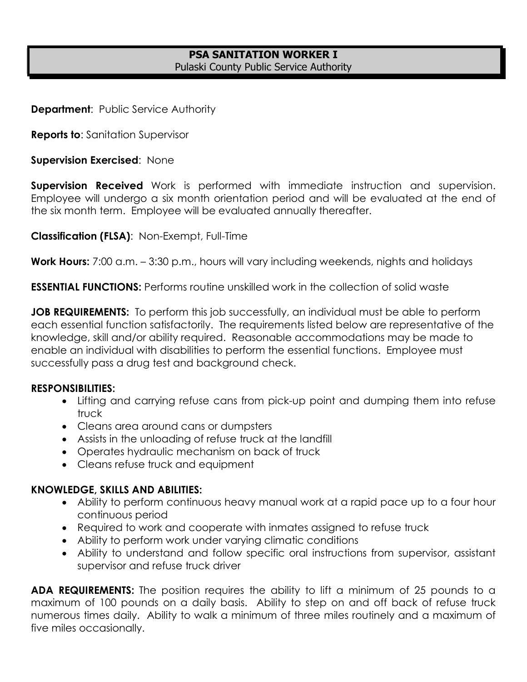# **PSA SANITATION WORKER I** Pulaski County Public Service Authority

**Department: Public Service Authority** 

**Reports to**: Sanitation Supervisor

**Supervision Exercised**: None

**Supervision Received** Work is performed with immediate instruction and supervision. Employee will undergo a six month orientation period and will be evaluated at the end of the six month term. Employee will be evaluated annually thereafter.

**Classification (FLSA)**: Non-Exempt, Full-Time

**Work Hours:** 7:00 a.m. – 3:30 p.m., hours will vary including weekends, nights and holidays

**ESSENTIAL FUNCTIONS:** Performs routine unskilled work in the collection of solid waste

**JOB REQUIREMENTS:** To perform this job successfully, an individual must be able to perform each essential function satisfactorily. The requirements listed below are representative of the knowledge, skill and/or ability required. Reasonable accommodations may be made to enable an individual with disabilities to perform the essential functions. Employee must successfully pass a drug test and background check.

#### **RESPONSIBILITIES:**

- Lifting and carrying refuse cans from pick-up point and dumping them into refuse truck
- Cleans area around cans or dumpsters
- Assists in the unloading of refuse truck at the landfill
- Operates hydraulic mechanism on back of truck
- Cleans refuse truck and equipment

## **KNOWLEDGE, SKILLS AND ABILITIES:**

- Ability to perform continuous heavy manual work at a rapid pace up to a four hour continuous period
- Required to work and cooperate with inmates assigned to refuse truck
- Ability to perform work under varying climatic conditions
- Ability to understand and follow specific oral instructions from supervisor, assistant supervisor and refuse truck driver

**ADA REQUIREMENTS:** The position requires the ability to lift a minimum of 25 pounds to a maximum of 100 pounds on a daily basis. Ability to step on and off back of refuse truck numerous times daily. Ability to walk a minimum of three miles routinely and a maximum of five miles occasionally.